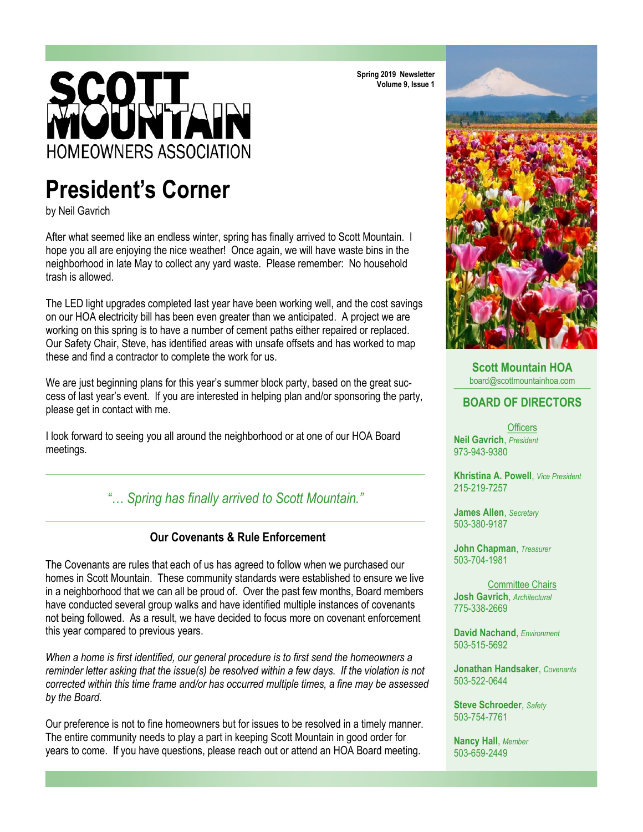# **HOMEOWNERS ASSOCIATION**

# **President's Corner**

by Neil Gavrich

After what seemed like an endless winter, spring has finally arrived to Scott Mountain. I hope you all are enjoying the nice weather! Once again, we will have waste bins in the neighborhood in late May to collect any yard waste. Please remember: No household trash is allowed.

The LED light upgrades completed last year have been working well, and the cost savings on our HOA electricity bill has been even greater than we anticipated. A project we are working on this spring is to have a number of cement paths either repaired or replaced. Our Safety Chair, Steve, has identified areas with unsafe offsets and has worked to map these and find a contractor to complete the work for us.

We are just beginning plans for this year's summer block party, based on the great success of last year's event. If you are interested in helping plan and/or sponsoring the party, please get in contact with me.

I look forward to seeing you all around the neighborhood or at one of our HOA Board meetings.

### *"… Spring has finally arrived to Scott Mountain."*



The Covenants are rules that each of us has agreed to follow when we purchased our homes in Scott Mountain. These community standards were established to ensure we live in a neighborhood that we can all be proud of. Over the past few months, Board members have conducted several group walks and have identified multiple instances of covenants not being followed. As a result, we have decided to focus more on covenant enforcement this year compared to previous years.

*When a home is first identified, our general procedure is to first send the homeowners a reminder letter asking that the issue(s) be resolved within a few days. If the violation is not corrected within this time frame and/or has occurred multiple times, a fine may be assessed by the Board.* 

Our preference is not to fine homeowners but for issues to be resolved in a timely manner. The entire community needs to play a part in keeping Scott Mountain in good order for years to come. If you have questions, please reach out or attend an HOA Board meeting.

**Spring 2019 Newsletter Volume 9, Issue 1**



**Scott Mountain HOA**  board@scottmountainhoa.com

### **BOARD OF DIRECTORS**

**Officers Neil Gavrich**, *President* 973-943-9380

**Khristina A. Powell**, *Vice President* 215-219-7257

**James Allen**, *Secretary* 503-380-9187

**John Chapman**, *Treasurer* 503-704-1981

Committee Chairs **Josh Gavrich**, *Architectural* 775-338-2669

**David Nachand**, *Environment* 503-515-5692

**Jonathan Handsaker**, *Covenants* 503-522-0644

**Steve Schroeder**, *Safety* 503-754-7761

**Nancy Hall**, *Member* 503-659-2449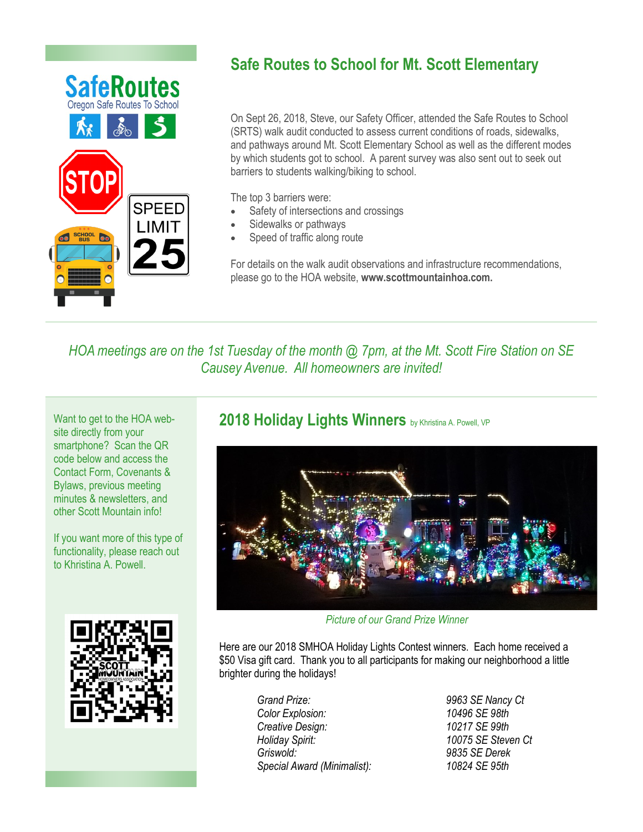

# **Safe Routes to School for Mt. Scott Elementary**

On Sept 26, 2018, Steve, our Safety Officer, attended the Safe Routes to School (SRTS) walk audit conducted to assess current conditions of roads, sidewalks, and pathways around Mt. Scott Elementary School as well as the different modes by which students got to school. A parent survey was also sent out to seek out barriers to students walking/biking to school.

The top 3 barriers were:

- Safety of intersections and crossings
- Sidewalks or pathways
- Speed of traffic along route

For details on the walk audit observations and infrastructure recommendations, please go to the HOA website, **www.scottmountainhoa.com.**

*HOA meetings are on the 1st Tuesday of the month @ 7pm, at the Mt. Scott Fire Station on SE Causey Avenue. All homeowners are invited!*

Want to get to the HOA website directly from your smartphone? Scan the QR code below and access the Contact Form, Covenants & Bylaws, previous meeting minutes & newsletters, and other Scott Mountain info!

If you want more of this type of functionality, please reach out to Khristina A. Powell.



### 2018 Holiday Lights Winners by Khristina A. Powell, VP



*Picture of our Grand Prize Winner*

Here are our 2018 SMHOA Holiday Lights Contest winners. Each home received a \$50 Visa gift card. Thank you to all participants for making our neighborhood a little brighter during the holidays!

> *Grand Prize: 9963 SE Nancy Ct Color Explosion: 10496 SE 98th Creative Design: Holiday Spirit: 10075 SE Steven Ct Griswold: 9835 SE Derek Special Award (Minimalist): 10824 SE 95th*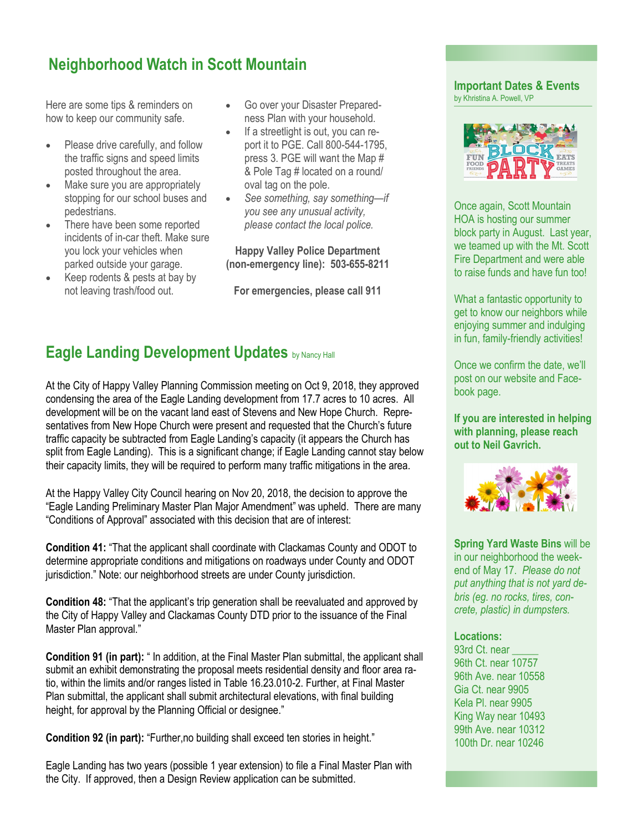# **Neighborhood Watch in Scott Mountain**

Here are some tips & reminders on how to keep our community safe.

- Please drive carefully, and follow the traffic signs and speed limits posted throughout the area.
- Make sure you are appropriately stopping for our school buses and pedestrians.
- There have been some reported incidents of in-car theft. Make sure you lock your vehicles when parked outside your garage.
- Keep rodents & pests at bay by not leaving trash/food out.
- Go over your Disaster Preparedness Plan with your household.
- If a streetlight is out, you can report it to PGE. Call 800-544-1795, press 3. PGE will want the Map # & Pole Tag # located on a round/ oval tag on the pole.
- *See something, say something—if you see any unusual activity, please contact the local police.*

**Happy Valley Police Department (non-emergency line): 503-655-8211**

**For emergencies, please call 911**

### **Eagle Landing Development Updates** by Nancy Hall

At the City of Happy Valley Planning Commission meeting on Oct 9, 2018, they approved condensing the area of the Eagle Landing development from 17.7 acres to 10 acres. All development will be on the vacant land east of Stevens and New Hope Church. Representatives from New Hope Church were present and requested that the Church's future traffic capacity be subtracted from Eagle Landing's capacity (it appears the Church has split from Eagle Landing). This is a significant change; if Eagle Landing cannot stay below their capacity limits, they will be required to perform many traffic mitigations in the area.

At the Happy Valley City Council hearing on Nov 20, 2018, the decision to approve the "Eagle Landing Preliminary Master Plan Major Amendment" was upheld. There are many "Conditions of Approval" associated with this decision that are of interest:

**Condition 41:** "That the applicant shall coordinate with Clackamas County and ODOT to determine appropriate conditions and mitigations on roadways under County and ODOT jurisdiction." Note: our neighborhood streets are under County jurisdiction.

**Condition 48:** "That the applicant's trip generation shall be reevaluated and approved by the City of Happy Valley and Clackamas County DTD prior to the issuance of the Final Master Plan approval."

**Condition 91 (in part):** " In addition, at the Final Master Plan submittal, the applicant shall submit an exhibit demonstrating the proposal meets residential density and floor area ratio, within the limits and/or ranges listed in Table 16.23.010-2. Further, at Final Master Plan submittal, the applicant shall submit architectural elevations, with final building height, for approval by the Planning Official or designee."

**Condition 92 (in part):** "Further,no building shall exceed ten stories in height."

Eagle Landing has two years (possible 1 year extension) to file a Final Master Plan with the City. If approved, then a Design Review application can be submitted.

### **Important Dates & Events** by Khristina A. Powell, VP



Once again, Scott Mountain HOA is hosting our summer block party in August. Last year, we teamed up with the Mt. Scott Fire Department and were able to raise funds and have fun too!

What a fantastic opportunity to get to know our neighbors while enjoying summer and indulging in fun, family-friendly activities!

Once we confirm the date, we'll post on our website and Facebook page.

**If you are interested in helping with planning, please reach out to Neil Gavrich.**



**Spring Yard Waste Bins** will be in our neighborhood the weekend of May 17. *Please do not put anything that is not yard debris (eg. no rocks, tires, concrete, plastic) in dumpsters.*

### **Locations:**

93rd Ct. near 96th Ct. near 10757 96th Ave. near 10558 Gia Ct. near 9905 Kela Pl. near 9905 King Way near 10493 99th Ave. near 10312 100th Dr. near 10246